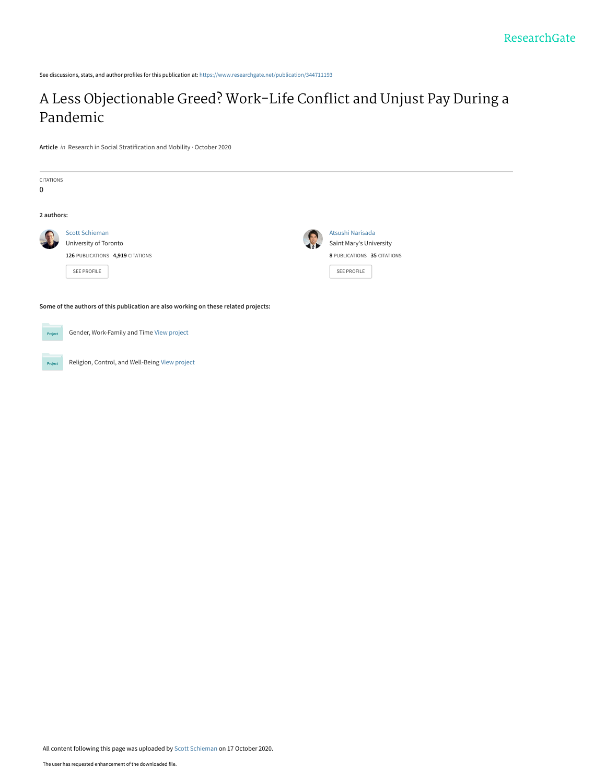See discussions, stats, and author profiles for this publication at: [https://www.researchgate.net/publication/344711193](https://www.researchgate.net/publication/344711193_A_Less_Objectionable_Greed_Work-Life_Conflict_and_Unjust_Pay_During_a_Pandemic?enrichId=rgreq-005219b529e9c773ef51edc24c3741ea-XXX&enrichSource=Y292ZXJQYWdlOzM0NDcxMTE5MztBUzo5NDc1OTExMDE1NjY5NzdAMTYwMjkzNDczMjgxOA%3D%3D&el=1_x_2&_esc=publicationCoverPdf)

# [A Less Objectionable Greed? Work-Life Conflict and Unjust Pay During a](https://www.researchgate.net/publication/344711193_A_Less_Objectionable_Greed_Work-Life_Conflict_and_Unjust_Pay_During_a_Pandemic?enrichId=rgreq-005219b529e9c773ef51edc24c3741ea-XXX&enrichSource=Y292ZXJQYWdlOzM0NDcxMTE5MztBUzo5NDc1OTExMDE1NjY5NzdAMTYwMjkzNDczMjgxOA%3D%3D&el=1_x_3&_esc=publicationCoverPdf) Pandemic

**Article** in Research in Social Stratification and Mobility · October 2020



Religion, Control, and Well-Being [View project](https://www.researchgate.net/project/Religion-Control-and-Well-Being?enrichId=rgreq-005219b529e9c773ef51edc24c3741ea-XXX&enrichSource=Y292ZXJQYWdlOzM0NDcxMTE5MztBUzo5NDc1OTExMDE1NjY5NzdAMTYwMjkzNDczMjgxOA%3D%3D&el=1_x_9&_esc=publicationCoverPdf) Project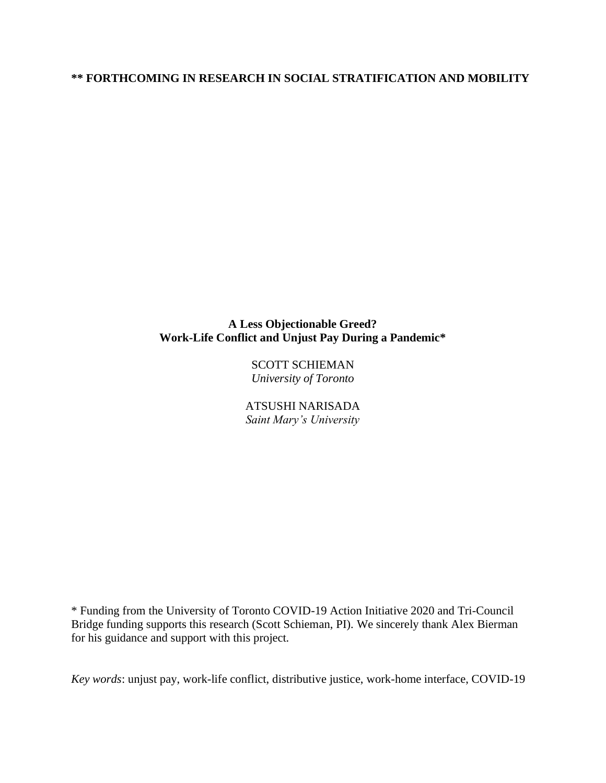# **\*\* FORTHCOMING IN RESEARCH IN SOCIAL STRATIFICATION AND MOBILITY**

# **A Less Objectionable Greed? Work-Life Conflict and Unjust Pay During a Pandemic\***

SCOTT SCHIEMAN *University of Toronto*

ATSUSHI NARISADA *Saint Mary's University*

\* Funding from the University of Toronto COVID-19 Action Initiative 2020 and Tri-Council Bridge funding supports this research (Scott Schieman, PI). We sincerely thank Alex Bierman for his guidance and support with this project.

*Key words*: unjust pay, work-life conflict, distributive justice, work-home interface, COVID-19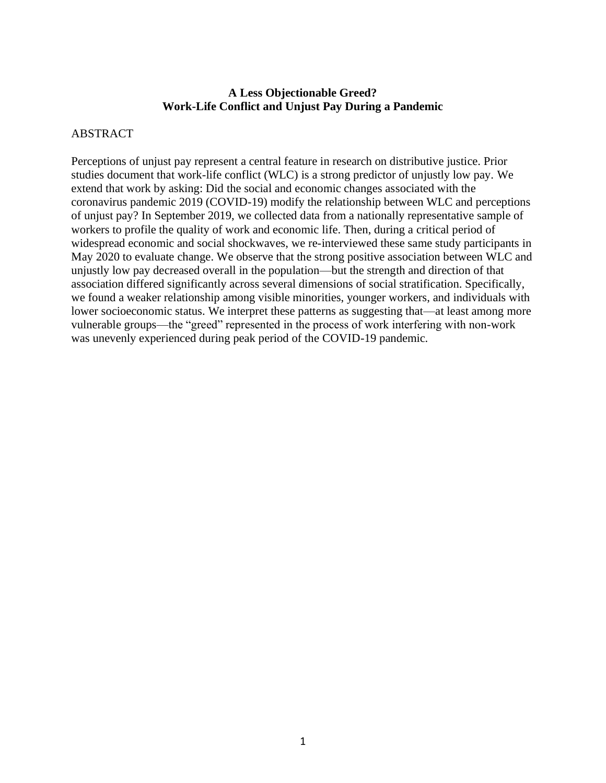# **A Less Objectionable Greed? Work-Life Conflict and Unjust Pay During a Pandemic**

# ABSTRACT

Perceptions of unjust pay represent a central feature in research on distributive justice. Prior studies document that work-life conflict (WLC) is a strong predictor of unjustly low pay. We extend that work by asking: Did the social and economic changes associated with the coronavirus pandemic 2019 (COVID-19) modify the relationship between WLC and perceptions of unjust pay? In September 2019, we collected data from a nationally representative sample of workers to profile the quality of work and economic life. Then, during a critical period of widespread economic and social shockwaves, we re-interviewed these same study participants in May 2020 to evaluate change. We observe that the strong positive association between WLC and unjustly low pay decreased overall in the population—but the strength and direction of that association differed significantly across several dimensions of social stratification. Specifically, we found a weaker relationship among visible minorities, younger workers, and individuals with lower socioeconomic status. We interpret these patterns as suggesting that—at least among more vulnerable groups—the "greed" represented in the process of work interfering with non-work was unevenly experienced during peak period of the COVID-19 pandemic.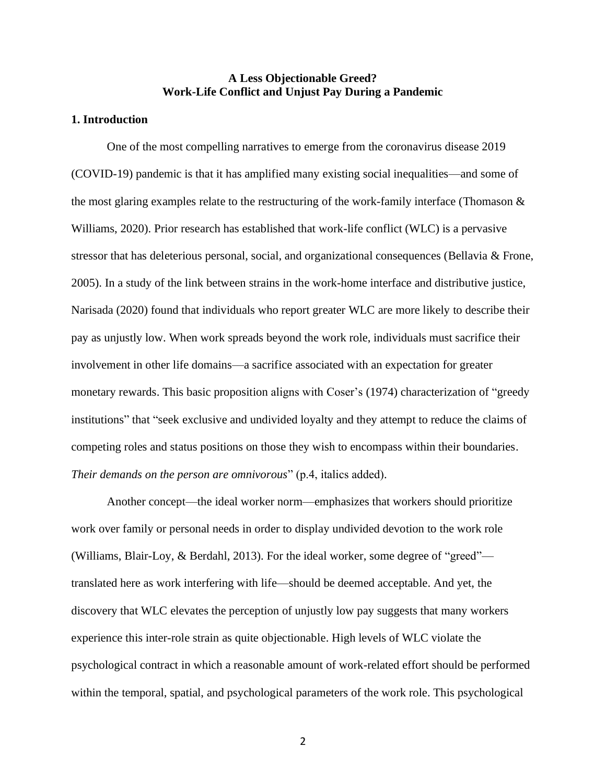# **A Less Objectionable Greed? Work-Life Conflict and Unjust Pay During a Pandemic**

#### **1. Introduction**

One of the most compelling narratives to emerge from the coronavirus disease 2019 (COVID-19) pandemic is that it has amplified many existing social inequalities—and some of the most glaring examples relate to the restructuring of the work-family interface (Thomason  $\&$ Williams, 2020). Prior research has established that work-life conflict (WLC) is a pervasive stressor that has deleterious personal, social, and organizational consequences (Bellavia & Frone, 2005). In a study of the link between strains in the work-home interface and distributive justice, Narisada (2020) found that individuals who report greater WLC are more likely to describe their pay as unjustly low. When work spreads beyond the work role, individuals must sacrifice their involvement in other life domains––a sacrifice associated with an expectation for greater monetary rewards. This basic proposition aligns with Coser's (1974) characterization of "greedy institutions" that "seek exclusive and undivided loyalty and they attempt to reduce the claims of competing roles and status positions on those they wish to encompass within their boundaries. *Their demands on the person are omnivorous*" (p.4, italics added).

Another concept—the ideal worker norm—emphasizes that workers should prioritize work over family or personal needs in order to display undivided devotion to the work role (Williams, Blair-Loy, & Berdahl, 2013). For the ideal worker, some degree of "greed" translated here as work interfering with life—should be deemed acceptable. And yet, the discovery that WLC elevates the perception of unjustly low pay suggests that many workers experience this inter-role strain as quite objectionable. High levels of WLC violate the psychological contract in which a reasonable amount of work-related effort should be performed within the temporal, spatial, and psychological parameters of the work role. This psychological

2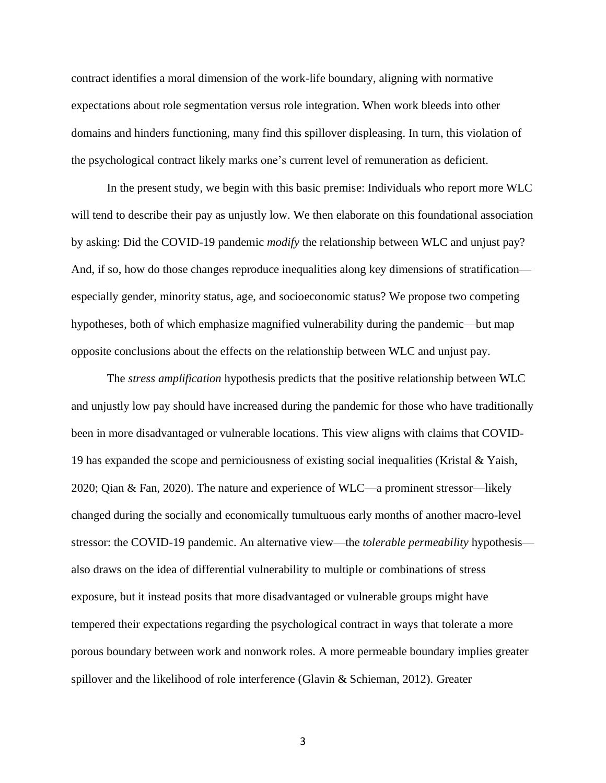contract identifies a moral dimension of the work-life boundary, aligning with normative expectations about role segmentation versus role integration. When work bleeds into other domains and hinders functioning, many find this spillover displeasing. In turn, this violation of the psychological contract likely marks one's current level of remuneration as deficient.

In the present study, we begin with this basic premise: Individuals who report more WLC will tend to describe their pay as unjustly low. We then elaborate on this foundational association by asking: Did the COVID-19 pandemic *modify* the relationship between WLC and unjust pay? And, if so, how do those changes reproduce inequalities along key dimensions of stratification especially gender, minority status, age, and socioeconomic status? We propose two competing hypotheses, both of which emphasize magnified vulnerability during the pandemic—but map opposite conclusions about the effects on the relationship between WLC and unjust pay.

The *stress amplification* hypothesis predicts that the positive relationship between WLC and unjustly low pay should have increased during the pandemic for those who have traditionally been in more disadvantaged or vulnerable locations. This view aligns with claims that COVID-19 has expanded the scope and perniciousness of existing social inequalities (Kristal & Yaish, 2020; Qian & Fan, 2020). The nature and experience of WLC—a prominent stressor—likely changed during the socially and economically tumultuous early months of another macro-level stressor: the COVID-19 pandemic. An alternative view—the *tolerable permeability* hypothesis also draws on the idea of differential vulnerability to multiple or combinations of stress exposure, but it instead posits that more disadvantaged or vulnerable groups might have tempered their expectations regarding the psychological contract in ways that tolerate a more porous boundary between work and nonwork roles. A more permeable boundary implies greater spillover and the likelihood of role interference (Glavin & Schieman, 2012). Greater

3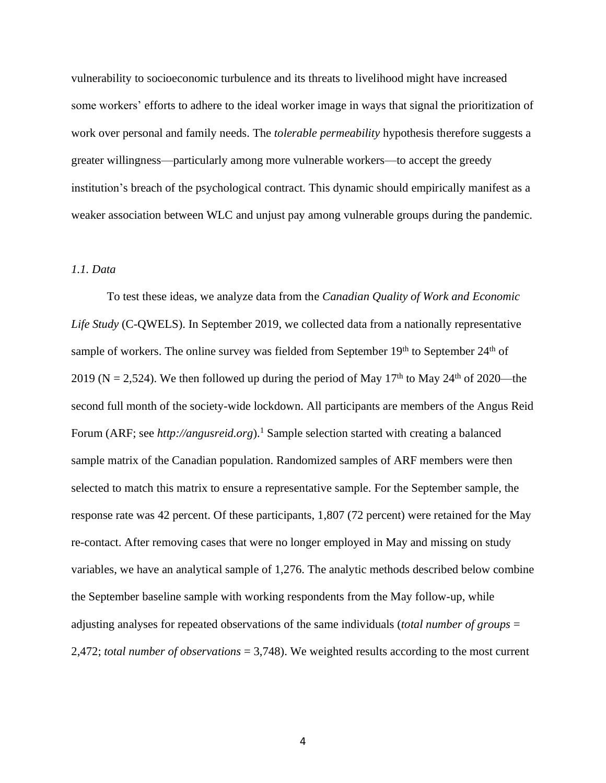vulnerability to socioeconomic turbulence and its threats to livelihood might have increased some workers' efforts to adhere to the ideal worker image in ways that signal the prioritization of work over personal and family needs. The *tolerable permeability* hypothesis therefore suggests a greater willingness—particularly among more vulnerable workers—to accept the greedy institution's breach of the psychological contract. This dynamic should empirically manifest as a weaker association between WLC and unjust pay among vulnerable groups during the pandemic.

## *1.1. Data*

To test these ideas, we analyze data from the *Canadian Quality of Work and Economic Life Study* (C-QWELS). In September 2019, we collected data from a nationally representative sample of workers. The online survey was fielded from September  $19<sup>th</sup>$  to September  $24<sup>th</sup>$  of 2019 (N = 2,524). We then followed up during the period of May 17<sup>th</sup> to May 24<sup>th</sup> of 2020—the second full month of the society-wide lockdown. All participants are members of the Angus Reid Forum (ARF; see *http://angusreid.org*).<sup>1</sup> Sample selection started with creating a balanced sample matrix of the Canadian population. Randomized samples of ARF members were then selected to match this matrix to ensure a representative sample. For the September sample, the response rate was 42 percent. Of these participants, 1,807 (72 percent) were retained for the May re-contact. After removing cases that were no longer employed in May and missing on study variables, we have an analytical sample of 1,276. The analytic methods described below combine the September baseline sample with working respondents from the May follow-up, while adjusting analyses for repeated observations of the same individuals (*total number of groups* = 2,472; *total number of observations* = 3,748). We weighted results according to the most current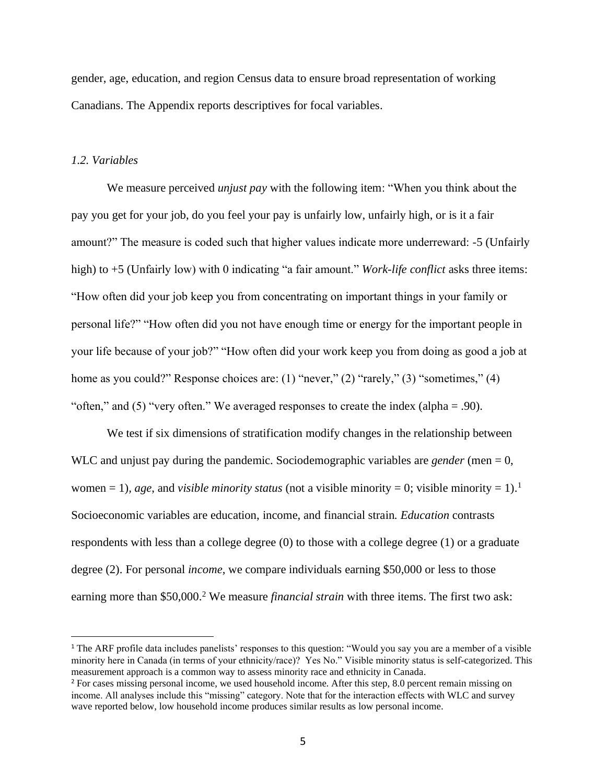gender, age, education, and region Census data to ensure broad representation of working Canadians. The Appendix reports descriptives for focal variables.

#### *1.2. Variables*

We measure perceived *unjust pay* with the following item: "When you think about the pay you get for your job, do you feel your pay is unfairly low, unfairly high, or is it a fair amount?" The measure is coded such that higher values indicate more underreward: -5 (Unfairly high) to +5 (Unfairly low) with 0 indicating "a fair amount." *Work-life conflict* asks three items: "How often did your job keep you from concentrating on important things in your family or personal life?" "How often did you not have enough time or energy for the important people in your life because of your job?" "How often did your work keep you from doing as good a job at home as you could?" Response choices are: (1) "never," (2) "rarely," (3) "sometimes," (4) "often," and (5) "very often." We averaged responses to create the index (alpha = .90).

We test if six dimensions of stratification modify changes in the relationship between WLC and unjust pay during the pandemic. Sociodemographic variables are *gender* (men = 0, women = 1), *age*, and *visible minority status* (not a visible minority = 0; visible minority = 1).<sup>1</sup> Socioeconomic variables are education, income, and financial strain*. Education* contrasts respondents with less than a college degree (0) to those with a college degree (1) or a graduate degree (2). For personal *income*, we compare individuals earning \$50,000 or less to those earning more than \$50,000. <sup>2</sup> We measure *financial strain* with three items. The first two ask:

<sup>1</sup> The ARF profile data includes panelists' responses to this question: "Would you say you are a member of a visible minority here in Canada (in terms of your ethnicity/race)? Yes No." Visible minority status is self-categorized. This measurement approach is a common way to assess minority race and ethnicity in Canada.

<sup>&</sup>lt;sup>2</sup> For cases missing personal income, we used household income. After this step, 8.0 percent remain missing on income. All analyses include this "missing" category. Note that for the interaction effects with WLC and survey wave reported below, low household income produces similar results as low personal income.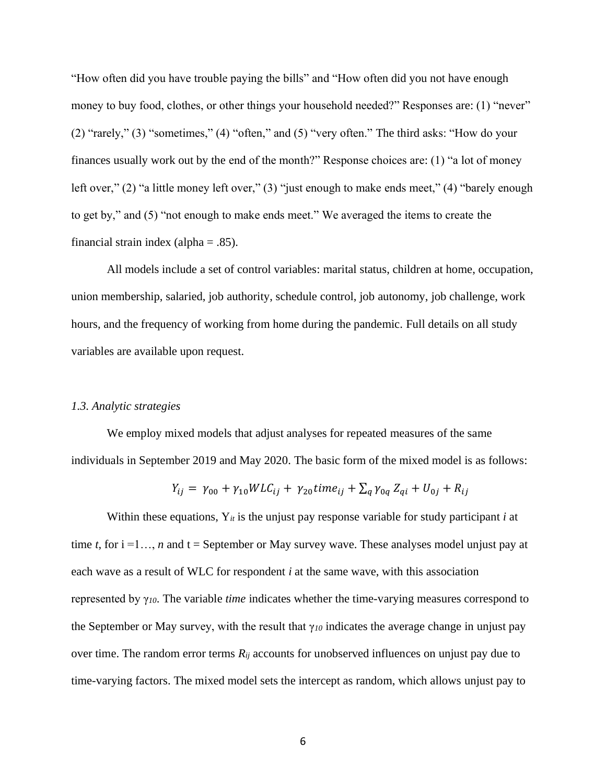"How often did you have trouble paying the bills" and "How often did you not have enough money to buy food, clothes, or other things your household needed?" Responses are: (1) "never" (2) "rarely," (3) "sometimes," (4) "often," and (5) "very often." The third asks: "How do your finances usually work out by the end of the month?" Response choices are: (1) "a lot of money left over," (2) "a little money left over," (3) "just enough to make ends meet," (4) "barely enough to get by," and (5) "not enough to make ends meet." We averaged the items to create the financial strain index (alpha =  $.85$ ).

All models include a set of control variables: marital status, children at home, occupation, union membership, salaried, job authority, schedule control, job autonomy, job challenge, work hours, and the frequency of working from home during the pandemic. Full details on all study variables are available upon request.

#### *1.3. Analytic strategies*

We employ mixed models that adjust analyses for repeated measures of the same individuals in September 2019 and May 2020. The basic form of the mixed model is as follows:

$$
Y_{ij} = \gamma_{00} + \gamma_{10} W L C_{ij} + \gamma_{20} \text{ time}_{ij} + \sum_{q} \gamma_{0q} Z_{qi} + U_{0j} + R_{ij}
$$

Within these equations, Y*it* is the unjust pay response variable for study participant *i* at time *t*, for  $i = 1...$ , *n* and  $t =$  September or May survey wave. These analyses model unjust pay at each wave as a result of WLC for respondent *i* at the same wave, with this association represented by γ*10*. The variable *time* indicates whether the time-varying measures correspond to the September or May survey, with the result that γ*<sup>10</sup>* indicates the average change in unjust pay over time. The random error terms *Rij* accounts for unobserved influences on unjust pay due to time-varying factors. The mixed model sets the intercept as random, which allows unjust pay to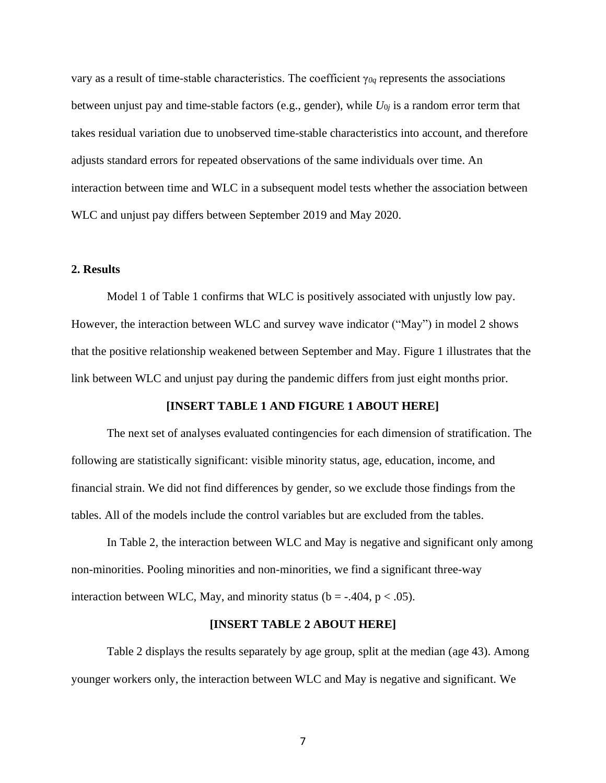vary as a result of time-stable characteristics. The coefficient γ*0q* represents the associations between unjust pay and time-stable factors (e.g., gender), while  $U_{0j}$  is a random error term that takes residual variation due to unobserved time-stable characteristics into account, and therefore adjusts standard errors for repeated observations of the same individuals over time. An interaction between time and WLC in a subsequent model tests whether the association between WLC and unjust pay differs between September 2019 and May 2020.

## **2. Results**

Model 1 of Table 1 confirms that WLC is positively associated with unjustly low pay. However, the interaction between WLC and survey wave indicator ("May") in model 2 shows that the positive relationship weakened between September and May. Figure 1 illustrates that the link between WLC and unjust pay during the pandemic differs from just eight months prior.

#### **[INSERT TABLE 1 AND FIGURE 1 ABOUT HERE]**

The next set of analyses evaluated contingencies for each dimension of stratification. The following are statistically significant: visible minority status, age, education, income, and financial strain. We did not find differences by gender, so we exclude those findings from the tables. All of the models include the control variables but are excluded from the tables.

In Table 2, the interaction between WLC and May is negative and significant only among non-minorities. Pooling minorities and non-minorities, we find a significant three-way interaction between WLC, May, and minority status ( $b = -0.404$ ,  $p < 0.05$ ).

#### **[INSERT TABLE 2 ABOUT HERE]**

Table 2 displays the results separately by age group, split at the median (age 43). Among younger workers only, the interaction between WLC and May is negative and significant. We

7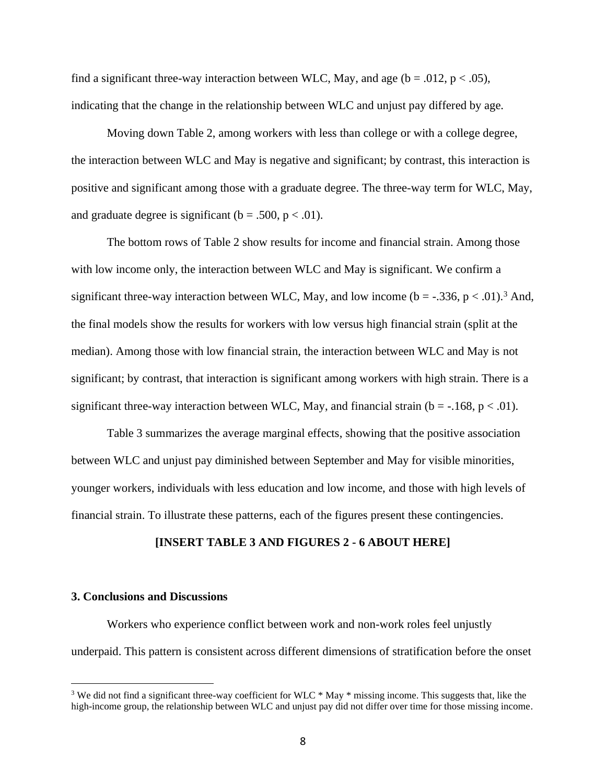find a significant three-way interaction between WLC, May, and age ( $b = .012$ ,  $p < .05$ ), indicating that the change in the relationship between WLC and unjust pay differed by age.

Moving down Table 2, among workers with less than college or with a college degree, the interaction between WLC and May is negative and significant; by contrast, this interaction is positive and significant among those with a graduate degree. The three-way term for WLC, May, and graduate degree is significant ( $b = .500$ ,  $p < .01$ ).

The bottom rows of Table 2 show results for income and financial strain. Among those with low income only, the interaction between WLC and May is significant. We confirm a significant three-way interaction between WLC, May, and low income ( $b = -0.336$ ,  $p < 0.01$ ).<sup>3</sup> And, the final models show the results for workers with low versus high financial strain (split at the median). Among those with low financial strain, the interaction between WLC and May is not significant; by contrast, that interaction is significant among workers with high strain. There is a significant three-way interaction between WLC, May, and financial strain ( $b = -168$ ,  $p < .01$ ).

Table 3 summarizes the average marginal effects, showing that the positive association between WLC and unjust pay diminished between September and May for visible minorities, younger workers, individuals with less education and low income, and those with high levels of financial strain. To illustrate these patterns, each of the figures present these contingencies.

#### **[INSERT TABLE 3 AND FIGURES 2 - 6 ABOUT HERE]**

#### **3. Conclusions and Discussions**

Workers who experience conflict between work and non-work roles feel unjustly underpaid. This pattern is consistent across different dimensions of stratification before the onset

<sup>&</sup>lt;sup>3</sup> We did not find a significant three-way coefficient for WLC \* May \* missing income. This suggests that, like the high-income group, the relationship between WLC and unjust pay did not differ over time for those missing income.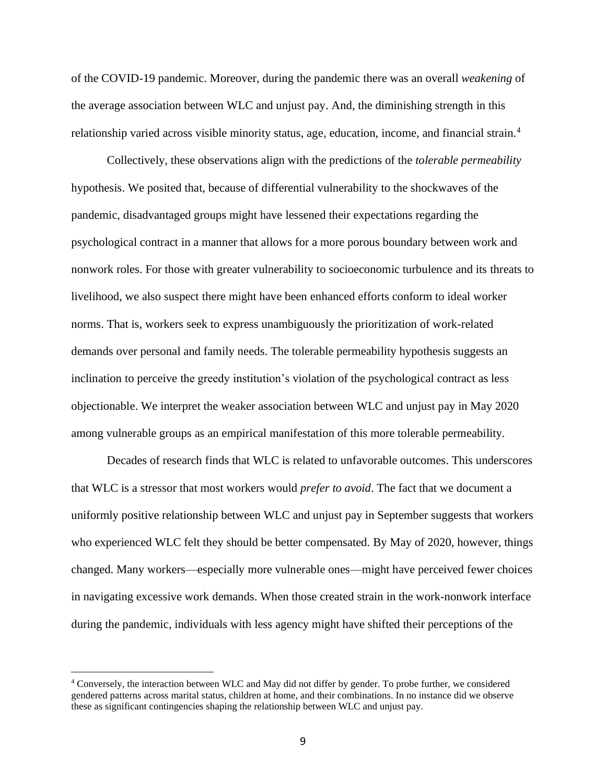of the COVID-19 pandemic. Moreover, during the pandemic there was an overall *weakening* of the average association between WLC and unjust pay. And, the diminishing strength in this relationship varied across visible minority status, age, education, income, and financial strain.<sup>4</sup>

Collectively, these observations align with the predictions of the *tolerable permeability* hypothesis. We posited that, because of differential vulnerability to the shockwaves of the pandemic, disadvantaged groups might have lessened their expectations regarding the psychological contract in a manner that allows for a more porous boundary between work and nonwork roles. For those with greater vulnerability to socioeconomic turbulence and its threats to livelihood, we also suspect there might have been enhanced efforts conform to ideal worker norms. That is, workers seek to express unambiguously the prioritization of work-related demands over personal and family needs. The tolerable permeability hypothesis suggests an inclination to perceive the greedy institution's violation of the psychological contract as less objectionable. We interpret the weaker association between WLC and unjust pay in May 2020 among vulnerable groups as an empirical manifestation of this more tolerable permeability.

Decades of research finds that WLC is related to unfavorable outcomes. This underscores that WLC is a stressor that most workers would *prefer to avoid*. The fact that we document a uniformly positive relationship between WLC and unjust pay in September suggests that workers who experienced WLC felt they should be better compensated. By May of 2020, however, things changed. Many workers—especially more vulnerable ones—might have perceived fewer choices in navigating excessive work demands. When those created strain in the work-nonwork interface during the pandemic, individuals with less agency might have shifted their perceptions of the

<sup>4</sup> Conversely, the interaction between WLC and May did not differ by gender. To probe further, we considered gendered patterns across marital status, children at home, and their combinations. In no instance did we observe these as significant contingencies shaping the relationship between WLC and unjust pay.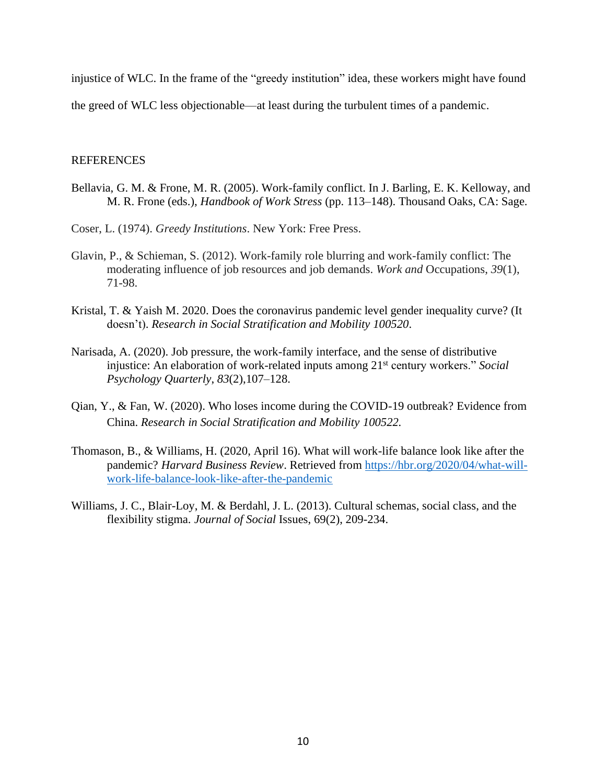injustice of WLC. In the frame of the "greedy institution" idea, these workers might have found

the greed of WLC less objectionable—at least during the turbulent times of a pandemic.

## REFERENCES

- Bellavia, G. M. & Frone, M. R. (2005). Work-family conflict. In J. Barling, E. K. Kelloway, and M. R. Frone (eds.), *Handbook of Work Stress* (pp. 113–148). Thousand Oaks, CA: Sage.
- Coser, L. (1974). *Greedy Institutions*. New York: Free Press.
- Glavin, P., & Schieman, S. (2012). Work-family role blurring and work-family conflict: The moderating influence of job resources and job demands. *Work and* Occupations, *39*(1), 71-98.
- Kristal, T. & Yaish M. 2020. Does the coronavirus pandemic level gender inequality curve? (It doesn't). *Research in Social Stratification and Mobility 100520*.
- Narisada, A. (2020). Job pressure, the work-family interface, and the sense of distributive injustice: An elaboration of work-related inputs among 21st century workers." *Social Psychology Quarterly*, *83*(2),107–128.
- Qian, Y., & Fan, W. (2020). Who loses income during the COVID-19 outbreak? Evidence from China. *Research in Social Stratification and Mobility 100522.*
- Thomason, B., & Williams, H. (2020, April 16). What will work-life balance look like after the pandemic? *Harvard Business Review*. Retrieved from [https://hbr.org/2020/04/what-will](https://hbr.org/2020/04/what-will-work-life-balance-look-like-after-the-pandemic)[work-life-balance-look-like-after-the-pandemic](https://hbr.org/2020/04/what-will-work-life-balance-look-like-after-the-pandemic)
- Williams, J. C., Blair-Loy, M. & Berdahl, J. L. (2013). Cultural schemas, social class, and the flexibility stigma. *Journal of Social* Issues, 69(2), 209-234.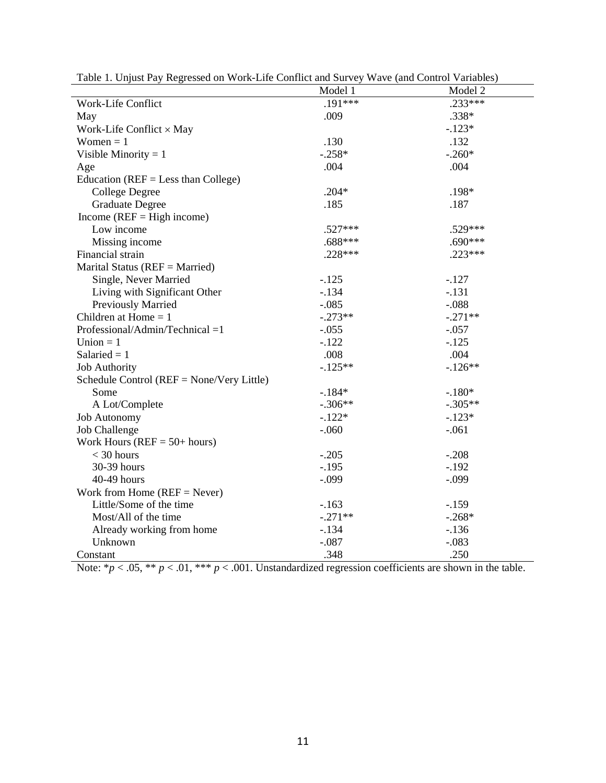|                                              | Model 1   | Model 2   |
|----------------------------------------------|-----------|-----------|
| Work-Life Conflict                           | $.191***$ | $.233***$ |
| May                                          | .009      | .338*     |
| Work-Life Conflict $\times$ May              |           | $-.123*$  |
| Women $= 1$                                  | .130      | .132      |
| Visible Minority = $1$                       | $-.258*$  | $-.260*$  |
| Age                                          | .004      | .004      |
| Education ( $REF = Less than College$ )      |           |           |
| <b>College Degree</b>                        | $.204*$   | .198*     |
| <b>Graduate Degree</b>                       | .185      | .187      |
| Income ( $REF = High income$ )               |           |           |
| Low income                                   | $.527***$ | .529***   |
| Missing income                               | $.688***$ | $.690***$ |
| Financial strain                             | $.228***$ | $.223***$ |
| Marital Status ( $REF = married$ )           |           |           |
| Single, Never Married                        | $-.125$   | $-.127$   |
| Living with Significant Other                | $-.134$   | $-.131$   |
| Previously Married                           | $-.085$   | $-.088$   |
| Children at Home $= 1$                       | $-.273**$ | $-.271**$ |
| Professional/Admin/Technical =1              | $-.055$   | $-.057$   |
| Union $= 1$                                  | $-.122$   | $-.125$   |
| Salaried $= 1$                               | .008      | .004      |
| <b>Job Authority</b>                         | $-.125**$ | $-.126**$ |
| Schedule Control ( $REF = None/Very$ Little) |           |           |
| Some                                         | $-184*$   | $-.180*$  |
| A Lot/Complete                               | $-.306**$ | $-.305**$ |
| <b>Job Autonomy</b>                          | $-.122*$  | $-.123*$  |
| <b>Job Challenge</b>                         | $-.060$   | $-.061$   |
| Work Hours ( $REF = 50+ hours$ )             |           |           |
| $<$ 30 hours                                 | $-.205$   | $-.208$   |
| 30-39 hours                                  | $-.195$   | $-.192$   |
| 40-49 hours                                  | $-.099$   | $-.099$   |
| Work from Home $(REF = Never)$               |           |           |
| Little/Some of the time                      | $-.163$   | $-.159$   |
| Most/All of the time                         | $-.271**$ | $-.268*$  |
| Already working from home                    | $-.134$   | $-.136$   |
| Unknown                                      | $-.087$   | $-.083$   |
| Constant                                     | .348      | .250      |

Table 1. Unjust Pay Regressed on Work-Life Conflict and Survey Wave (and Control Variables)

Note:  $*p < .05$ ,  $** p < .01$ ,  $*** p < .001$ . Unstandardized regression coefficients are shown in the table.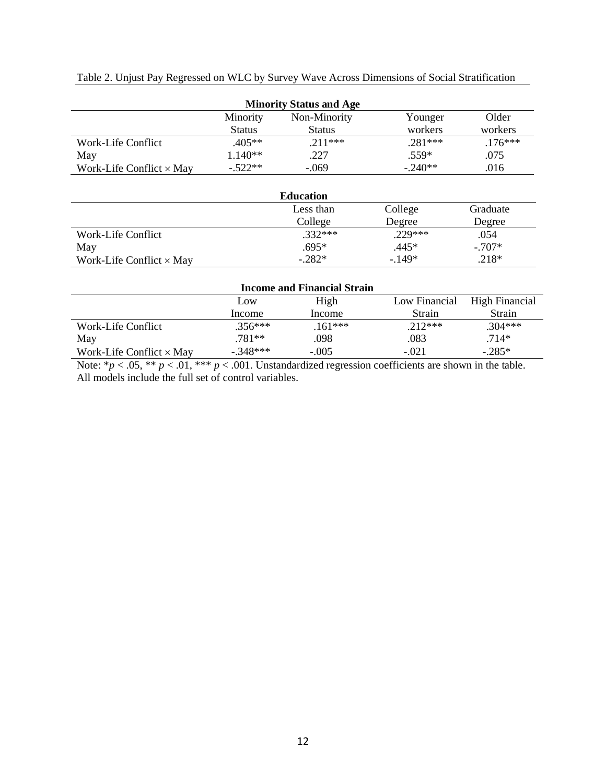|  |  | Table 2. Unjust Pay Regressed on WLC by Survey Wave Across Dimensions of Social Stratification |  |  |
|--|--|------------------------------------------------------------------------------------------------|--|--|
|  |  |                                                                                                |  |  |

| <b>Minority Status and Age</b>  |               |               |           |           |
|---------------------------------|---------------|---------------|-----------|-----------|
|                                 | Minority      | Non-Minority  | Younger   | Older     |
|                                 | <b>Status</b> | <b>Status</b> | workers   | workers   |
| Work-Life Conflict              | $.405**$      | $.211***$     | $.281***$ | $.176***$ |
| May                             | $1.140**$     | .227          | .559*     | .075      |
| Work-Life Conflict $\times$ May | $-.522**$     | $-.069$       | $-.240**$ | .016      |

|                                 | <b>Education</b> |           |          |
|---------------------------------|------------------|-----------|----------|
|                                 | Less than        | College   | Graduate |
|                                 | College          | Degree    | Degree   |
| Work-Life Conflict              | $.332***$        | $.229***$ | .054     |
| May                             | .695*            | $.445*$   | $-.707*$ |
| Work-Life Conflict $\times$ May | $-.282*$         | $-149*$   | $.218*$  |

| <b>Income and Financial Strain</b> |            |          |               |                |
|------------------------------------|------------|----------|---------------|----------------|
|                                    | Low        | High     | Low Financial | High Financial |
|                                    | Income     | Income   | Strain        | Strain         |
| Work-Life Conflict                 | $.356***$  | $161***$ | $.212***$     | .304***        |
| May                                | .781**     | .098     | .083          | $.714*$        |
| Work-Life Conflict $\times$ May    | $-.348***$ | $-.005$  | $-.021$       | $-.285*$       |

Note:  $*p < .05$ ,  $** p < .01$ ,  $*** p < .001$ . Unstandardized regression coefficients are shown in the table. All models include the full set of control variables.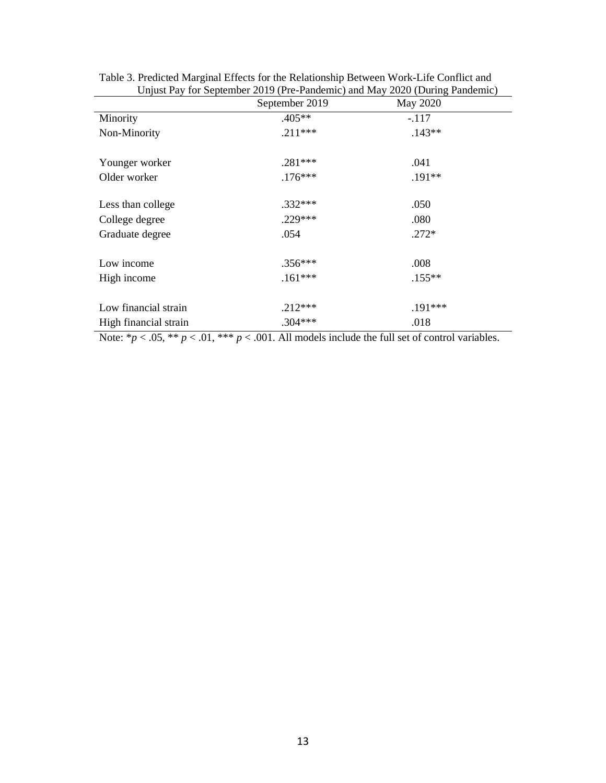| Unjust Pay for September 2019 (Pre-Pandemic) and May 2020 (During Pandemic) |                |           |  |  |
|-----------------------------------------------------------------------------|----------------|-----------|--|--|
|                                                                             | September 2019 | May 2020  |  |  |
| Minority                                                                    | $.405**$       | $-.117$   |  |  |
| Non-Minority                                                                | $.211***$      | $.143**$  |  |  |
| Younger worker                                                              | $.281***$      | .041      |  |  |
| Older worker                                                                | $.176***$      | $.191**$  |  |  |
| Less than college                                                           | $.332***$      | .050      |  |  |
| College degree                                                              | $.229***$      | .080      |  |  |
| Graduate degree                                                             | .054           | $.272*$   |  |  |
| Low income                                                                  | $.356***$      | .008      |  |  |
| High income                                                                 | $.161***$      | $.155***$ |  |  |
| Low financial strain                                                        | $.212***$      | .191***   |  |  |
| High financial strain                                                       | $.304***$      | .018      |  |  |

Table 3. Predicted Marginal Effects for the Relationship Between Work-Life Conflict and Unjust Pay for September 2019 (Pre-Pandemic) and May 2020 (During Pandemic)

Note:  $\gamma p < .05$ ,  $\gamma p < .01$ ,  $\gamma p < .001$ . All models include the full set of control variables.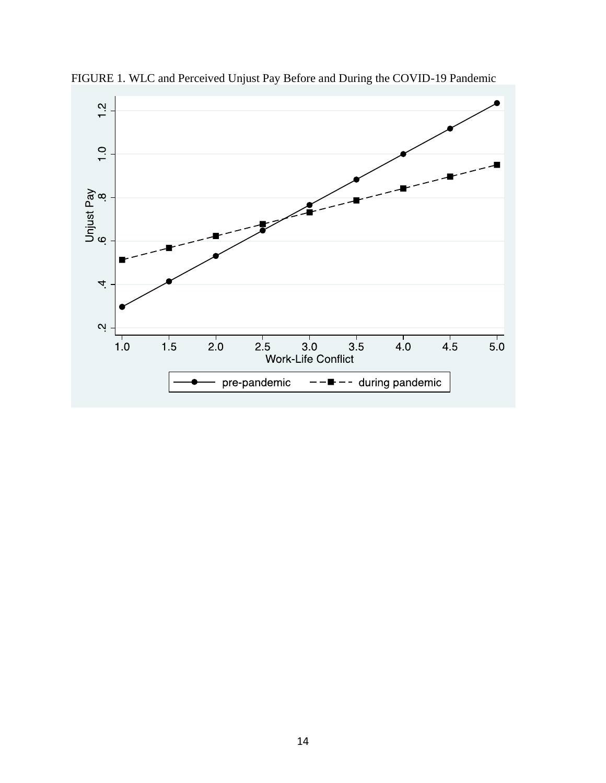

FIGURE 1. WLC and Perceived Unjust Pay Before and During the COVID-19 Pandemic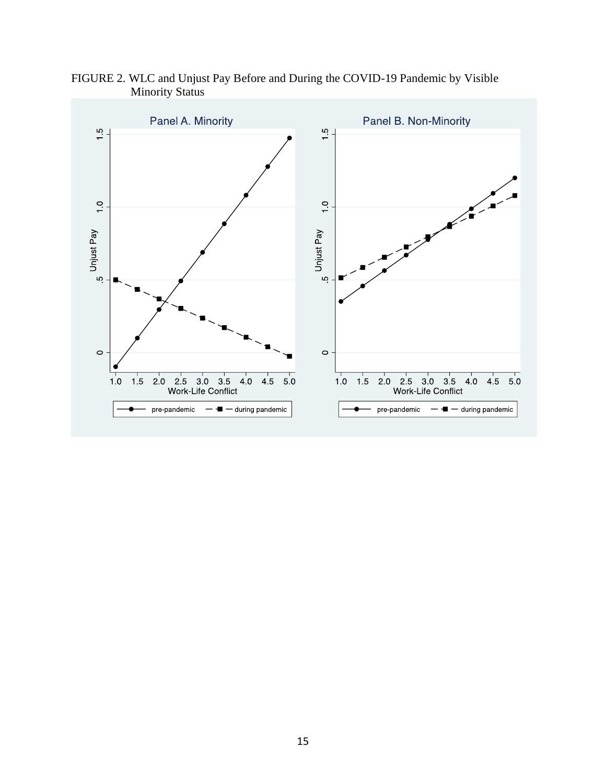

FIGURE 2. WLC and Unjust Pay Before and During the COVID-19 Pandemic by Visible Minority Status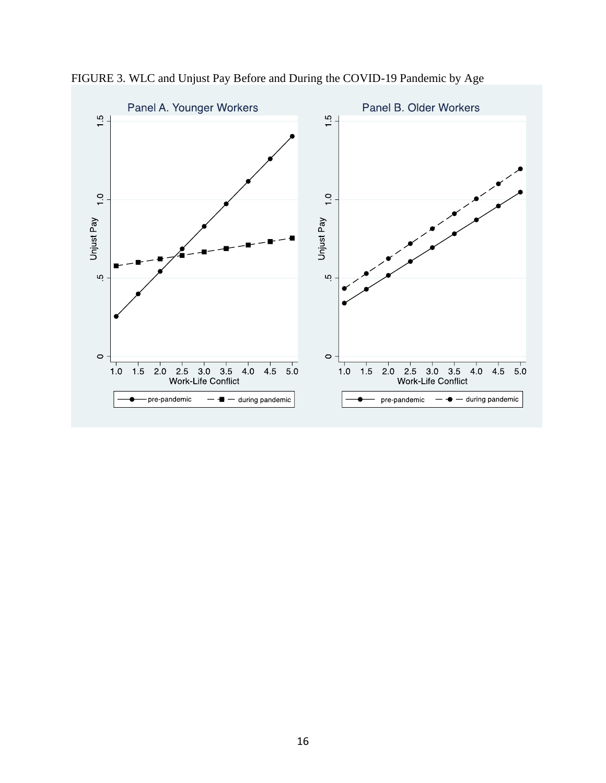

FIGURE 3. WLC and Unjust Pay Before and During the COVID-19 Pandemic by Age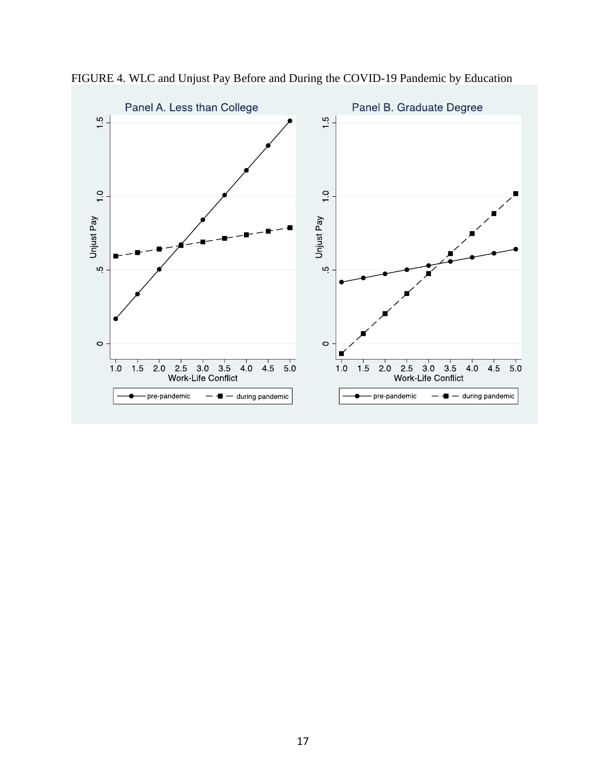

FIGURE 4. WLC and Unjust Pay Before and During the COVID-19 Pandemic by Education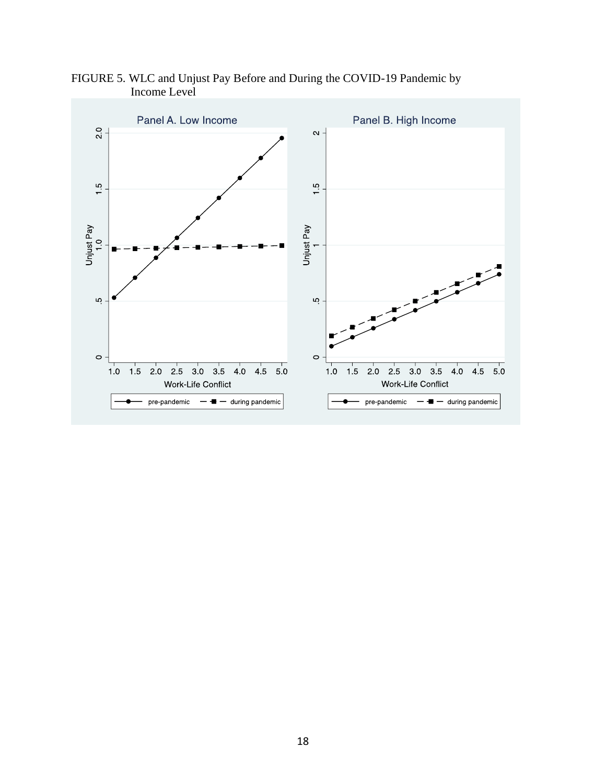

FIGURE 5. WLC and Unjust Pay Before and During the COVID-19 Pandemic by Income Level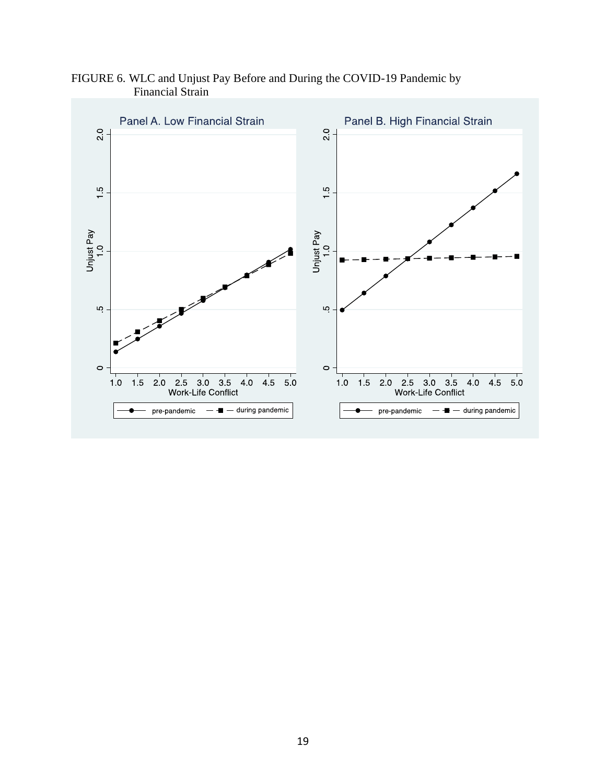FIGURE 6. WLC and Unjust Pay Before and During the COVID-19 Pandemic by Financial Strain